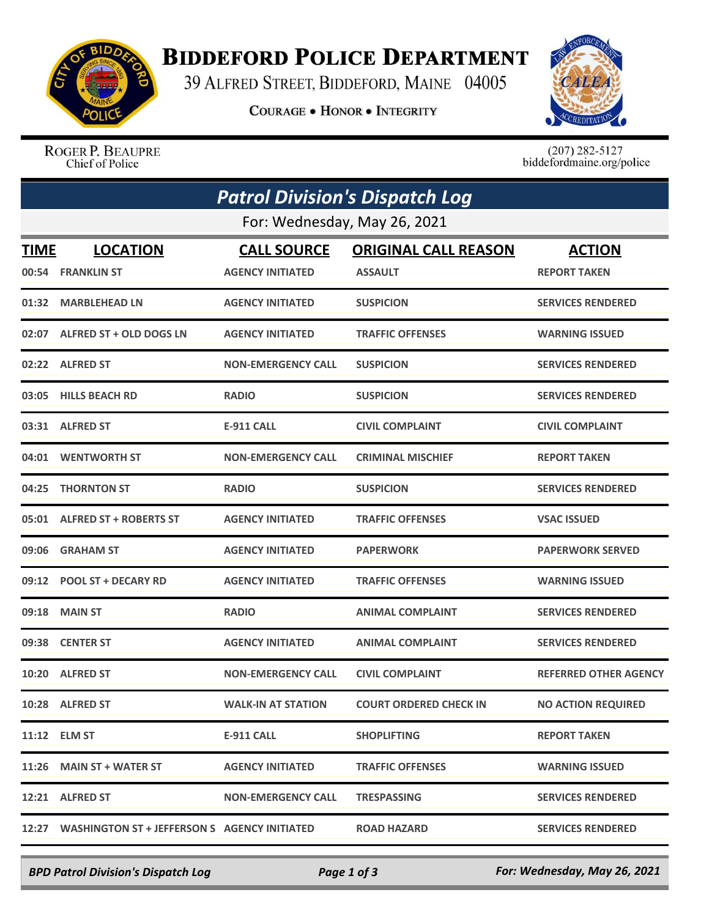

## **BIDDEFORD POLICE DEPARTMENT**

39 ALFRED STREET, BIDDEFORD, MAINE 04005

**COURAGE . HONOR . INTEGRITY** 



ROGER P. BEAUPRE Chief of Police

 $(207)$  282-5127<br>biddefordmaine.org/police

| <b>Patrol Division's Dispatch Log</b> |                                                    |                                               |                                               |                                      |  |  |  |
|---------------------------------------|----------------------------------------------------|-----------------------------------------------|-----------------------------------------------|--------------------------------------|--|--|--|
| For: Wednesday, May 26, 2021          |                                                    |                                               |                                               |                                      |  |  |  |
| <b>TIME</b>                           | <b>LOCATION</b><br>00:54 FRANKLIN ST               | <b>CALL SOURCE</b><br><b>AGENCY INITIATED</b> | <b>ORIGINAL CALL REASON</b><br><b>ASSAULT</b> | <b>ACTION</b><br><b>REPORT TAKEN</b> |  |  |  |
| 01:32                                 | <b>MARBLEHEAD LN</b>                               | <b>AGENCY INITIATED</b>                       | <b>SUSPICION</b>                              | <b>SERVICES RENDERED</b>             |  |  |  |
|                                       | 02:07 ALFRED ST + OLD DOGS LN                      | <b>AGENCY INITIATED</b>                       | <b>TRAFFIC OFFENSES</b>                       | <b>WARNING ISSUED</b>                |  |  |  |
|                                       | 02:22 ALFRED ST                                    | <b>NON-EMERGENCY CALL</b>                     | <b>SUSPICION</b>                              | <b>SERVICES RENDERED</b>             |  |  |  |
|                                       | 03:05 HILLS BEACH RD                               | <b>RADIO</b>                                  | <b>SUSPICION</b>                              | <b>SERVICES RENDERED</b>             |  |  |  |
|                                       | 03:31 ALFRED ST                                    | <b>E-911 CALL</b>                             | <b>CIVIL COMPLAINT</b>                        | <b>CIVIL COMPLAINT</b>               |  |  |  |
|                                       | 04:01 WENTWORTH ST                                 | <b>NON-EMERGENCY CALL</b>                     | <b>CRIMINAL MISCHIEF</b>                      | <b>REPORT TAKEN</b>                  |  |  |  |
| 04:25                                 | <b>THORNTON ST</b>                                 | <b>RADIO</b>                                  | <b>SUSPICION</b>                              | <b>SERVICES RENDERED</b>             |  |  |  |
|                                       | 05:01 ALFRED ST + ROBERTS ST                       | <b>AGENCY INITIATED</b>                       | <b>TRAFFIC OFFENSES</b>                       | <b>VSAC ISSUED</b>                   |  |  |  |
|                                       | 09:06 GRAHAM ST                                    | <b>AGENCY INITIATED</b>                       | <b>PAPERWORK</b>                              | <b>PAPERWORK SERVED</b>              |  |  |  |
|                                       | 09:12 POOL ST + DECARY RD                          | <b>AGENCY INITIATED</b>                       | <b>TRAFFIC OFFENSES</b>                       | <b>WARNING ISSUED</b>                |  |  |  |
| 09:18                                 | <b>MAIN ST</b>                                     | <b>RADIO</b>                                  | <b>ANIMAL COMPLAINT</b>                       | <b>SERVICES RENDERED</b>             |  |  |  |
| 09:38                                 | <b>CENTER ST</b>                                   | <b>AGENCY INITIATED</b>                       | <b>ANIMAL COMPLAINT</b>                       | <b>SERVICES RENDERED</b>             |  |  |  |
|                                       | 10:20 ALFRED ST                                    | <b>NON-EMERGENCY CALL</b>                     | <b>CIVIL COMPLAINT</b>                        | <b>REFERRED OTHER AGENCY</b>         |  |  |  |
|                                       | 10:28 ALFRED ST                                    | <b>WALK-IN AT STATION</b>                     | <b>COURT ORDERED CHECK IN</b>                 | <b>NO ACTION REQUIRED</b>            |  |  |  |
|                                       | 11:12 ELM ST                                       | E-911 CALL                                    | <b>SHOPLIFTING</b>                            | <b>REPORT TAKEN</b>                  |  |  |  |
|                                       | 11:26 MAIN ST + WATER ST                           | <b>AGENCY INITIATED</b>                       | <b>TRAFFIC OFFENSES</b>                       | <b>WARNING ISSUED</b>                |  |  |  |
|                                       | 12:21 ALFRED ST                                    | <b>NON-EMERGENCY CALL</b>                     | <b>TRESPASSING</b>                            | <b>SERVICES RENDERED</b>             |  |  |  |
|                                       | 12:27 WASHINGTON ST + JEFFERSON S AGENCY INITIATED |                                               | <b>ROAD HAZARD</b>                            | <b>SERVICES RENDERED</b>             |  |  |  |

*BPD Patrol Division's Dispatch Log Page 1 of 3 For: Wednesday, May 26, 2021*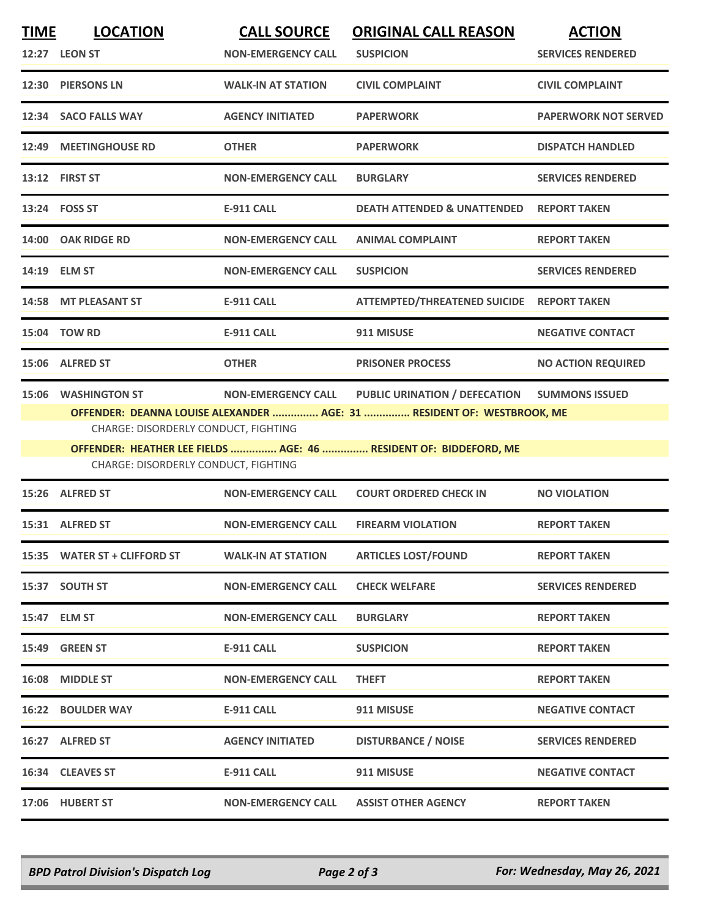| <b>TIME</b> | <b>LOCATION</b>                                                                                      | <b>CALL SOURCE</b>        | <b>ORIGINAL CALL REASON</b>                                                                                                                                                  | <b>ACTION</b>               |
|-------------|------------------------------------------------------------------------------------------------------|---------------------------|------------------------------------------------------------------------------------------------------------------------------------------------------------------------------|-----------------------------|
|             | 12:27 LEON ST                                                                                        | <b>NON-EMERGENCY CALL</b> | <b>SUSPICION</b>                                                                                                                                                             | <b>SERVICES RENDERED</b>    |
|             | 12:30 PIERSONS LN                                                                                    | <b>WALK-IN AT STATION</b> | <b>CIVIL COMPLAINT</b>                                                                                                                                                       | <b>CIVIL COMPLAINT</b>      |
|             | 12:34 SACO FALLS WAY                                                                                 | <b>AGENCY INITIATED</b>   | <b>PAPERWORK</b>                                                                                                                                                             | <b>PAPERWORK NOT SERVED</b> |
| 12:49       | <b>MEETINGHOUSE RD</b>                                                                               | <b>OTHER</b>              | <b>PAPERWORK</b>                                                                                                                                                             | <b>DISPATCH HANDLED</b>     |
|             | 13:12 FIRST ST                                                                                       | <b>NON-EMERGENCY CALL</b> | <b>BURGLARY</b>                                                                                                                                                              | <b>SERVICES RENDERED</b>    |
|             | 13:24 FOSS ST                                                                                        | <b>E-911 CALL</b>         | <b>DEATH ATTENDED &amp; UNATTENDED</b>                                                                                                                                       | <b>REPORT TAKEN</b>         |
|             | 14:00 OAK RIDGE RD                                                                                   | <b>NON-EMERGENCY CALL</b> | <b>ANIMAL COMPLAINT</b>                                                                                                                                                      | <b>REPORT TAKEN</b>         |
|             | 14:19 ELM ST                                                                                         | <b>NON-EMERGENCY CALL</b> | <b>SUSPICION</b>                                                                                                                                                             | <b>SERVICES RENDERED</b>    |
| 14:58       | <b>MT PLEASANT ST</b>                                                                                | <b>E-911 CALL</b>         | ATTEMPTED/THREATENED SUICIDE REPORT TAKEN                                                                                                                                    |                             |
|             | 15:04 TOW RD                                                                                         | <b>E-911 CALL</b>         | 911 MISUSE                                                                                                                                                                   | <b>NEGATIVE CONTACT</b>     |
|             | 15:06 ALFRED ST                                                                                      | <b>OTHER</b>              | <b>PRISONER PROCESS</b>                                                                                                                                                      | <b>NO ACTION REQUIRED</b>   |
| 15:06       | <b>WASHINGTON ST</b><br>CHARGE: DISORDERLY CONDUCT, FIGHTING<br>CHARGE: DISORDERLY CONDUCT, FIGHTING | <b>NON-EMERGENCY CALL</b> | PUBLIC URINATION / DEFECATION<br>OFFENDER: DEANNA LOUISE ALEXANDER  AGE: 31  RESIDENT OF: WESTBROOK, ME<br>OFFENDER: HEATHER LEE FIELDS  AGE: 46  RESIDENT OF: BIDDEFORD, ME | <b>SUMMONS ISSUED</b>       |
|             | 15:26 ALFRED ST                                                                                      | <b>NON-EMERGENCY CALL</b> | <b>COURT ORDERED CHECK IN</b>                                                                                                                                                | <b>NO VIOLATION</b>         |
| 15:31       | <b>ALFRED ST</b>                                                                                     | <b>NON-EMERGENCY CALL</b> | <b>FIREARM VIOLATION</b>                                                                                                                                                     | <b>REPORT TAKEN</b>         |
|             | 15:35 WATER ST + CLIFFORD ST                                                                         | <b>WALK-IN AT STATION</b> | <b>ARTICLES LOST/FOUND</b>                                                                                                                                                   | <b>REPORT TAKEN</b>         |
|             | 15:37 SOUTH ST                                                                                       | <b>NON-EMERGENCY CALL</b> | <b>CHECK WELFARE</b>                                                                                                                                                         | <b>SERVICES RENDERED</b>    |
|             | 15:47 ELM ST                                                                                         | <b>NON-EMERGENCY CALL</b> | <b>BURGLARY</b>                                                                                                                                                              | <b>REPORT TAKEN</b>         |
|             | 15:49 GREEN ST                                                                                       | E-911 CALL                | <b>SUSPICION</b>                                                                                                                                                             | <b>REPORT TAKEN</b>         |
|             | 16:08 MIDDLE ST                                                                                      | <b>NON-EMERGENCY CALL</b> | <b>THEFT</b>                                                                                                                                                                 | <b>REPORT TAKEN</b>         |
|             | <b>16:22 BOULDER WAY</b>                                                                             | E-911 CALL                | 911 MISUSE                                                                                                                                                                   | <b>NEGATIVE CONTACT</b>     |
|             | 16:27 ALFRED ST                                                                                      | <b>AGENCY INITIATED</b>   | <b>DISTURBANCE / NOISE</b>                                                                                                                                                   | <b>SERVICES RENDERED</b>    |
|             | 16:34 CLEAVES ST                                                                                     | <b>E-911 CALL</b>         | 911 MISUSE                                                                                                                                                                   | <b>NEGATIVE CONTACT</b>     |
|             | 17:06 HUBERT ST                                                                                      | <b>NON-EMERGENCY CALL</b> | <b>ASSIST OTHER AGENCY</b>                                                                                                                                                   | <b>REPORT TAKEN</b>         |
|             |                                                                                                      |                           |                                                                                                                                                                              |                             |

*BPD Patrol Division's Dispatch Log Page 2 of 3 For: Wednesday, May 26, 2021*